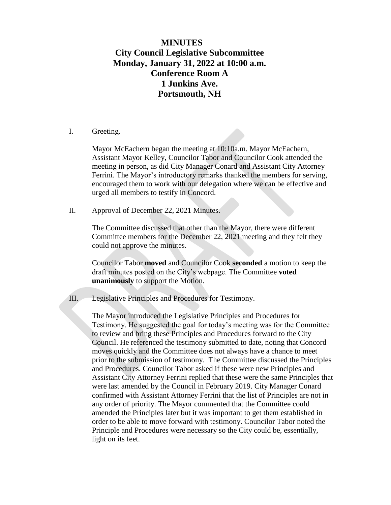## **MINUTES City Council Legislative Subcommittee Monday, January 31, 2022 at 10:00 a.m. Conference Room A 1 Junkins Ave. Portsmouth, NH**

I. Greeting.

Mayor McEachern began the meeting at 10:10a.m. Mayor McEachern, Assistant Mayor Kelley, Councilor Tabor and Councilor Cook attended the meeting in person, as did City Manager Conard and Assistant City Attorney Ferrini. The Mayor's introductory remarks thanked the members for serving, encouraged them to work with our delegation where we can be effective and urged all members to testify in Concord.

II. Approval of December 22, 2021 Minutes.

The Committee discussed that other than the Mayor, there were different Committee members for the December 22, 2021 meeting and they felt they could not approve the minutes.

Councilor Tabor **moved** and Councilor Cook **seconded** a motion to keep the draft minutes posted on the City's webpage. The Committee **voted unanimously** to support the Motion.

III. Legislative Principles and Procedures for Testimony.

The Mayor introduced the Legislative Principles and Procedures for Testimony. He suggested the goal for today's meeting was for the Committee to review and bring these Principles and Procedures forward to the City Council. He referenced the testimony submitted to date, noting that Concord moves quickly and the Committee does not always have a chance to meet prior to the submission of testimony. The Committee discussed the Principles and Procedures. Councilor Tabor asked if these were new Principles and Assistant City Attorney Ferrini replied that these were the same Principles that were last amended by the Council in February 2019. City Manager Conard confirmed with Assistant Attorney Ferrini that the list of Principles are not in any order of priority. The Mayor commented that the Committee could amended the Principles later but it was important to get them established in order to be able to move forward with testimony. Councilor Tabor noted the Principle and Procedures were necessary so the City could be, essentially, light on its feet.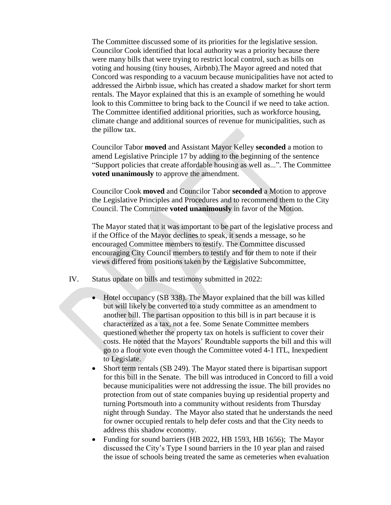The Committee discussed some of its priorities for the legislative session. Councilor Cook identified that local authority was a priority because there were many bills that were trying to restrict local control, such as bills on voting and housing (tiny houses, Airbnb).The Mayor agreed and noted that Concord was responding to a vacuum because municipalities have not acted to addressed the Airbnb issue, which has created a shadow market for short term rentals. The Mayor explained that this is an example of something he would look to this Committee to bring back to the Council if we need to take action. The Committee identified additional priorities, such as workforce housing, climate change and additional sources of revenue for municipalities, such as the pillow tax.

Councilor Tabor **moved** and Assistant Mayor Kelley **seconded** a motion to amend Legislative Principle 17 by adding to the beginning of the sentence "Support policies that create affordable housing as well as...". The Committee **voted unanimously** to approve the amendment.

Councilor Cook **moved** and Councilor Tabor **seconded** a Motion to approve the Legislative Principles and Procedures and to recommend them to the City Council. The Committee **voted unanimously** in favor of the Motion.

The Mayor stated that it was important to be part of the legislative process and if the Office of the Mayor declines to speak, it sends a message, so he encouraged Committee members to testify. The Committee discussed encouraging City Council members to testify and for them to note if their views differed from positions taken by the Legislative Subcommittee,

- IV. Status update on bills and testimony submitted in 2022:
	- Hotel occupancy (SB 338). The Mayor explained that the bill was killed but will likely be converted to a study committee as an amendment to another bill. The partisan opposition to this bill is in part because it is characterized as a tax, not a fee. Some Senate Committee members questioned whether the property tax on hotels is sufficient to cover their costs. He noted that the Mayors' Roundtable supports the bill and this will go to a floor vote even though the Committee voted 4-1 ITL, Inexpedient to Legislate.
	- Short term rentals (SB 249). The Mayor stated there is bipartisan support for this bill in the Senate. The bill was introduced in Concord to fill a void because municipalities were not addressing the issue. The bill provides no protection from out of state companies buying up residential property and turning Portsmouth into a community without residents from Thursday night through Sunday. The Mayor also stated that he understands the need for owner occupied rentals to help defer costs and that the City needs to address this shadow economy.
	- Funding for sound barriers (HB 2022, HB 1593, HB 1656); The Mayor discussed the City's Type I sound barriers in the 10 year plan and raised the issue of schools being treated the same as cemeteries when evaluation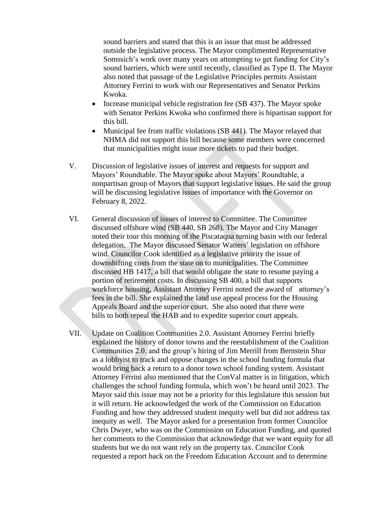sound barriers and stated that this is an issue that must be addressed outside the legislative process. The Mayor complimented Representative Somssich's work over many years on attempting to get funding for City's sound barriers, which were until recently, classified as Type II. The Mayor also noted that passage of the Legislative Principles permits Assistant Attorney Ferrini to work with our Representatives and Senator Perkins Kwoka.

- Increase municipal vehicle registration fee  $(SB 437)$ . The Mayor spoke with Senator Perkins Kwoka who confirmed there is bipartisan support for this bill.
- Municipal fee from traffic violations (SB 441). The Mayor relayed that NHMA did not support this bill because some members were concerned that municipalities might issue more tickets to pad their budget.
- V. Discussion of legislative issues of interest and requests for support and Mayors' Roundtable. The Mayor spoke about Mayors' Roundtable, a nonpartisan group of Mayors that support legislative issues. He said the group will be discussing legislative issues of importance with the Governor on February 8, 2022.
- VI. General discussion of issues of interest to Committee. The Committee discussed offshore wind (SB 440, SB 268). The Mayor and City Manager noted their tour this morning of the Piscataqua turning basin with our federal delegation. The Mayor discussed Senator Watters' legislation on offshore wind. Councilor Cook identified as a legislative priority the issue of downshifting costs from the state on to municipalities. The Committee discussed HB 1417, a bill that would obligate the state to resume paying a portion of retirement costs. In discussing SB 400, a bill that supports workforce housing, Assistant Attorney Ferrini noted the award of attorney's fees in the bill. She explained the land use appeal process for the Housing Appeals Board and the superior court. She also noted that there were bills to both repeal the HAB and to expedite superior court appeals.
- VII. Update on Coalition Communities 2.0. Assistant Attorney Ferrini briefly explained the history of donor towns and the reestablishment of the Coalition Communities 2.0. and the group's hiring of Jim Merrill from Bernstein Shur as a lobbyist to track and oppose changes in the school funding formula that would bring back a return to a donor town school funding system. Assistant Attorney Ferrini also mentioned that the ConVal matter is in litigation, which challenges the school funding formula, which won't be heard until 2023. The Mayor said this issue may not be a priority for this legislature this session but it will return. He acknowledged the work of the Commission on Education Funding and how they addressed student inequity well but did not address tax inequity as well. The Mayor asked for a presentation from former Councilor Chris Dwyer, who was on the Commission on Education Funding, and quoted her comments to the Commission that acknowledge that we want equity for all students but we do not want rely on the property tax. Councilor Cook requested a report back on the Freedom Education Account and to determine